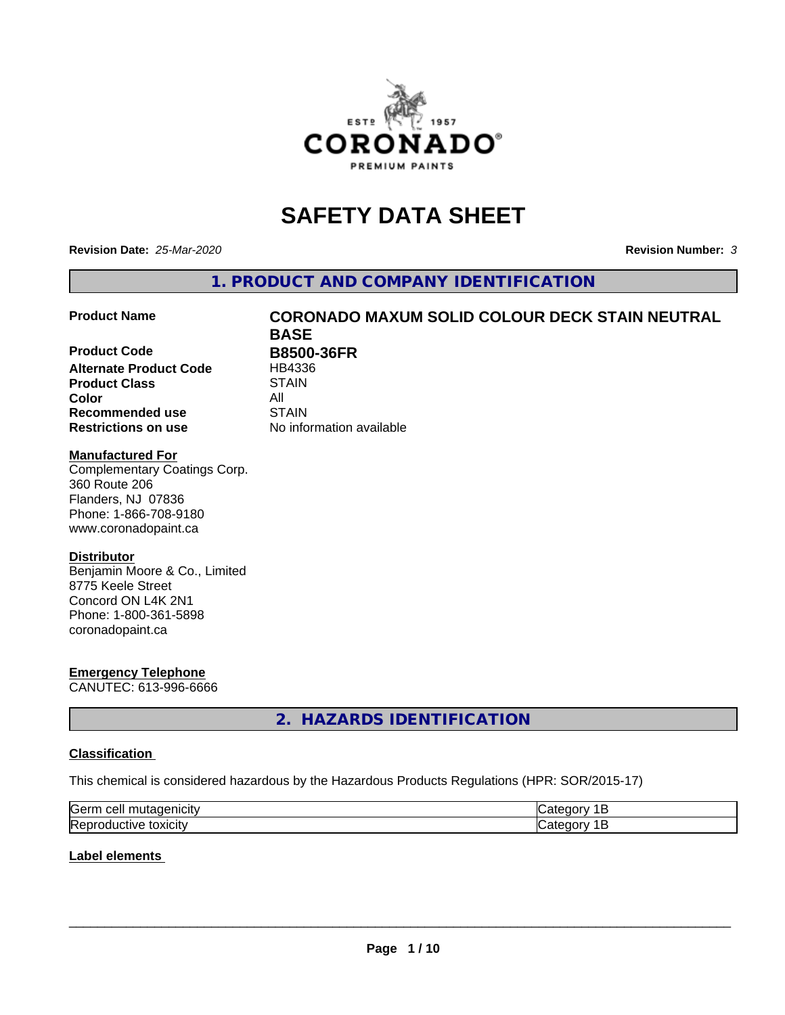

# **SAFETY DATA SHEET**

**Revision Date:** *25-Mar-2020* **Revision Number:** *3*

**1. PRODUCT AND COMPANY IDENTIFICATION**

**Product Code B8500-36FR Alternate Product Code** HB4336 **Product Class STAIN Color** All **Recommended use STAIN Restrictions on use** No information available

# **Product Name CORONADO MAXUM SOLID COLOUR DECK STAIN NEUTRAL BASE**

#### **Manufactured For**

Complementary Coatings Corp. 360 Route 206 Flanders, NJ 07836 Phone: 1-866-708-9180 www.coronadopaint.ca

### **Distributor**

Benjamin Moore & Co., Limited 8775 Keele Street Concord ON L4K 2N1 Phone: 1-800-361-5898 coronadopaint.ca

# **Emergency Telephone**

CANUTEC: 613-996-6666

# **2. HAZARDS IDENTIFICATION**

### **Classification**

This chemical is considered hazardous by the Hazardous Products Regulations (HPR: SOR/2015-17)

| ∽<br>√arr (<br>μ<br>ш |  |
|-----------------------|--|
| . .                   |  |

#### **Label elements**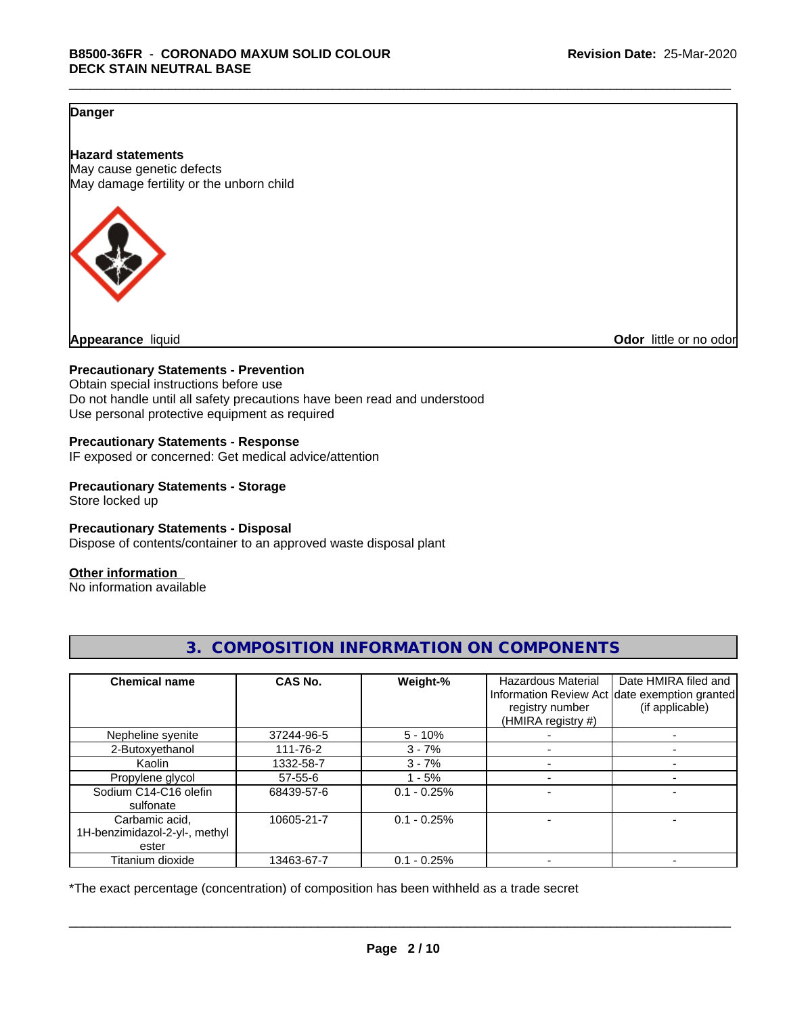## **Danger**

**Hazard statements** May cause genetic defects May damage fertility or the unborn child



**Appearance** liquid **Odor 11** and **Odor 11** and **Odor 11** and **Odor 11** and **Odor Odor 1** and **Odor 1** and **Odor 1** and **Odor 1** and **Odor 1** and **1** and **1** and **1** and **1** and **1** and **1** and **1** and **1** and

#### **Precautionary Statements - Prevention**

Obtain special instructions before use Do not handle until all safety precautions have been read and understood Use personal protective equipment as required

#### **Precautionary Statements - Response**

IF exposed or concerned: Get medical advice/attention

### **Precautionary Statements - Storage**

Store locked up

#### **Precautionary Statements - Disposal**

Dispose of contents/container to an approved waste disposal plant

#### **Other information**

No information available

| <b>Chemical name</b>                                     | CAS No.    | Weight-%      | <b>Hazardous Material</b><br>registry number<br>(HMIRA registry #) | Date HMIRA filed and<br>Information Review Act date exemption granted<br>(if applicable) |
|----------------------------------------------------------|------------|---------------|--------------------------------------------------------------------|------------------------------------------------------------------------------------------|
| Nepheline syenite                                        | 37244-96-5 | $5 - 10%$     |                                                                    |                                                                                          |
| 2-Butoxyethanol                                          | 111-76-2   | $3 - 7%$      |                                                                    |                                                                                          |
| Kaolin                                                   | 1332-58-7  | $3 - 7%$      |                                                                    |                                                                                          |
| Propylene glycol                                         | 57-55-6    | $-5%$         |                                                                    |                                                                                          |
| Sodium C14-C16 olefin<br>sulfonate                       | 68439-57-6 | $0.1 - 0.25%$ |                                                                    |                                                                                          |
| Carbamic acid,<br>1H-benzimidazol-2-yl-, methyl<br>ester | 10605-21-7 | $0.1 - 0.25%$ |                                                                    |                                                                                          |
| Titanium dioxide                                         | 13463-67-7 | $0.1 - 0.25%$ |                                                                    |                                                                                          |

# **3. COMPOSITION INFORMATION ON COMPONENTS**

\*The exact percentage (concentration) of composition has been withheld as a trade secret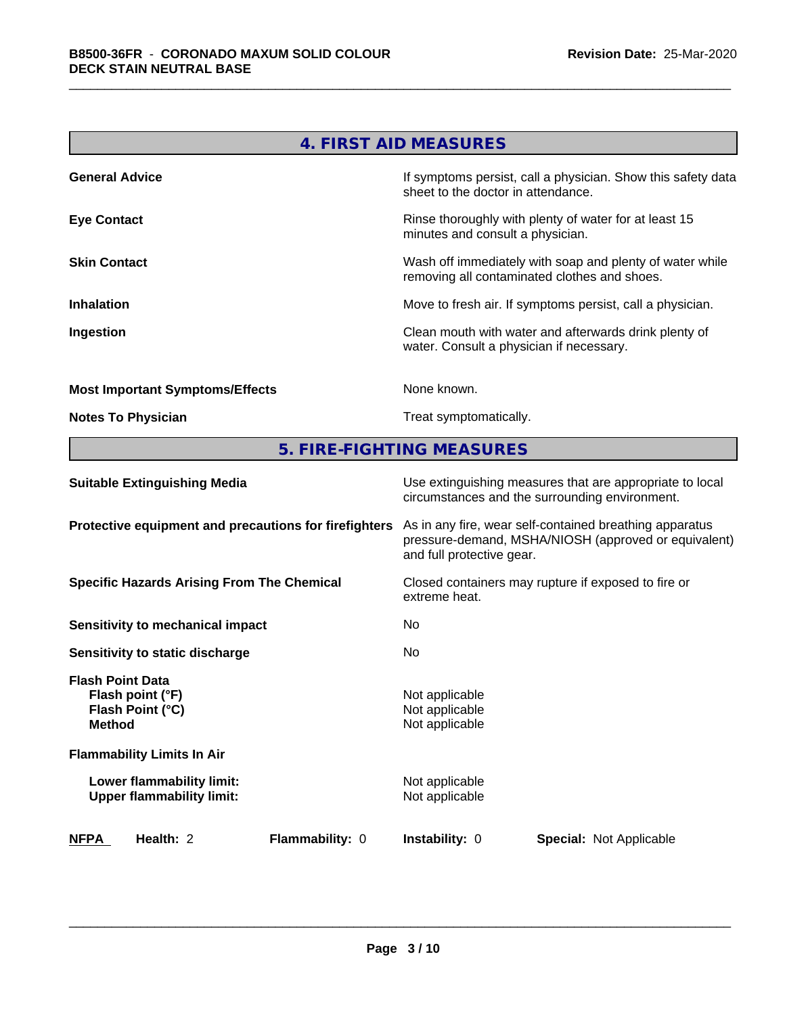|                                        | 4. FIRST AID MEASURES                                                                                    |
|----------------------------------------|----------------------------------------------------------------------------------------------------------|
| <b>General Advice</b>                  | If symptoms persist, call a physician. Show this safety data<br>sheet to the doctor in attendance.       |
| <b>Eye Contact</b>                     | Rinse thoroughly with plenty of water for at least 15<br>minutes and consult a physician.                |
| <b>Skin Contact</b>                    | Wash off immediately with soap and plenty of water while<br>removing all contaminated clothes and shoes. |
| <b>Inhalation</b>                      | Move to fresh air. If symptoms persist, call a physician.                                                |
| Ingestion                              | Clean mouth with water and afterwards drink plenty of<br>water. Consult a physician if necessary.        |
| <b>Most Important Symptoms/Effects</b> | None known.                                                                                              |
| <b>Notes To Physician</b>              | Treat symptomatically.                                                                                   |

**5. FIRE-FIGHTING MEASURES**

| <b>Suitable Extinguishing Media</b>                                              | Use extinguishing measures that are appropriate to local<br>circumstances and the surrounding environment.                                   |  |  |  |
|----------------------------------------------------------------------------------|----------------------------------------------------------------------------------------------------------------------------------------------|--|--|--|
| Protective equipment and precautions for firefighters                            | As in any fire, wear self-contained breathing apparatus<br>pressure-demand, MSHA/NIOSH (approved or equivalent)<br>and full protective gear. |  |  |  |
| <b>Specific Hazards Arising From The Chemical</b>                                | Closed containers may rupture if exposed to fire or<br>extreme heat.                                                                         |  |  |  |
| <b>Sensitivity to mechanical impact</b>                                          | No.                                                                                                                                          |  |  |  |
| Sensitivity to static discharge                                                  | No.                                                                                                                                          |  |  |  |
| <b>Flash Point Data</b><br>Flash point (°F)<br>Flash Point (°C)<br><b>Method</b> | Not applicable<br>Not applicable<br>Not applicable                                                                                           |  |  |  |
| <b>Flammability Limits In Air</b>                                                |                                                                                                                                              |  |  |  |
| Lower flammability limit:<br><b>Upper flammability limit:</b>                    | Not applicable<br>Not applicable                                                                                                             |  |  |  |
| <b>Flammability: 0</b><br>NFPA<br>Health: 2                                      | <b>Instability: 0</b><br><b>Special: Not Applicable</b>                                                                                      |  |  |  |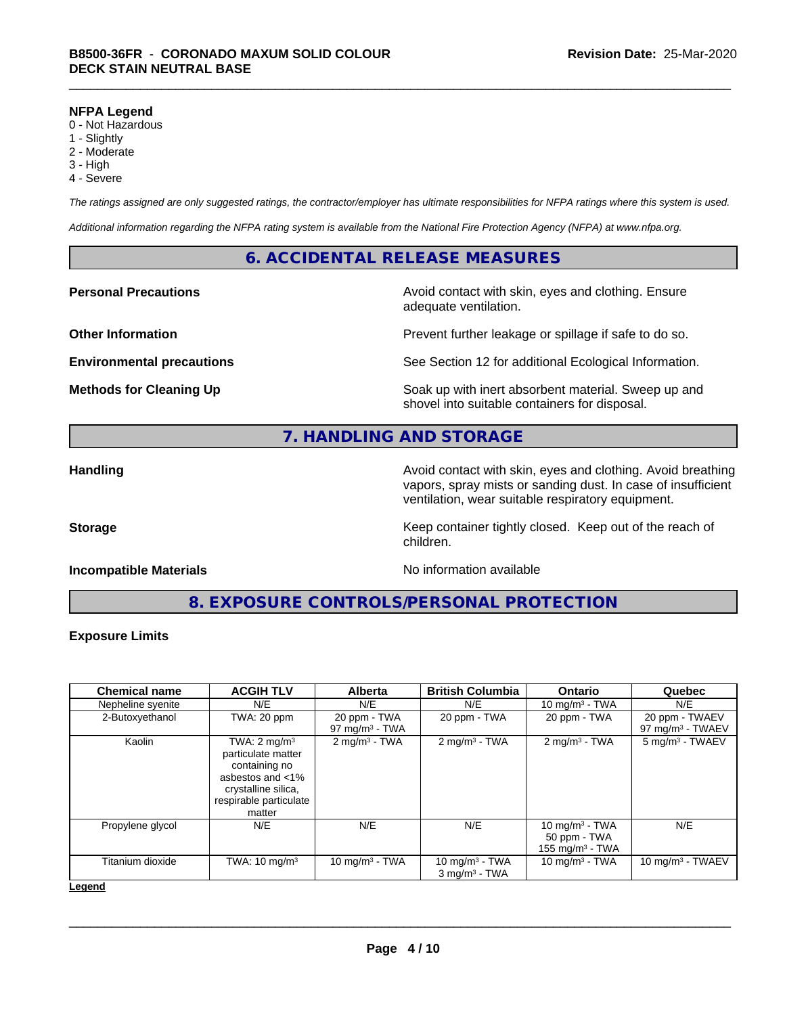#### **NFPA Legend**

- 0 Not Hazardous
- 1 Slightly
- 2 Moderate
- 3 High
- 4 Severe

*The ratings assigned are only suggested ratings, the contractor/employer has ultimate responsibilities for NFPA ratings where this system is used.*

*Additional information regarding the NFPA rating system is available from the National Fire Protection Agency (NFPA) at www.nfpa.org.*

### **6. ACCIDENTAL RELEASE MEASURES**

**Personal Precautions Avoid contact with skin, eyes and clothing. Ensure** Avoid contact with skin, eyes and clothing. Ensure adequate ventilation.

**Other Information Department Information Department Intervent further leakage or spillage if safe to do so.** 

**Environmental precautions** See Section 12 for additional Ecological Information.

**Methods for Cleaning Up Example 20 Soak** up with inert absorbent material. Sweep up and shovel into suitable containers for disposal.

# **7. HANDLING AND STORAGE**

**Handling Avoid contact with skin, eyes and clothing. Avoid breathing Handling Avoid breathing** vapors, spray mists or sanding dust. In case of insufficient ventilation, wear suitable respiratory equipment.

**Storage** Storage **Keep container tightly closed.** Keep out of the reach of

#### **Incompatible Materials Incompatible Materials No information available**

**8. EXPOSURE CONTROLS/PERSONAL PROTECTION**

children.

#### **Exposure Limits**

| <b>ACGIH TLV</b>                                                                                                                              | <b>Alberta</b>                    | <b>British Columbia</b>                          | <b>Ontario</b>                                          | Quebec                                |
|-----------------------------------------------------------------------------------------------------------------------------------------------|-----------------------------------|--------------------------------------------------|---------------------------------------------------------|---------------------------------------|
| N/E                                                                                                                                           | N/E                               | N/E                                              | 10 mg/m $3$ - TWA                                       | N/E                                   |
| TWA: 20 ppm                                                                                                                                   | 20 ppm - TWA<br>97 mg/m $3$ - TWA | 20 ppm - $T\overline{WA}$                        | 20 ppm - TWA                                            | 20 ppm - TWAEV<br>97 mg/m $3$ - TWAEV |
| TWA: $2 \text{ mg/m}^3$<br>particulate matter<br>containing no<br>asbestos and <1%<br>crystalline silica,<br>respirable particulate<br>matter | $2$ mg/m <sup>3</sup> - TWA       | $2$ mg/m <sup>3</sup> - TWA                      | $2 \text{mq/m}^3$ - TWA                                 | 5 mg/m <sup>3</sup> - TWAEV           |
| N/E                                                                                                                                           | N/E                               | N/E                                              | 10 mg/m $3$ - TWA<br>50 ppm - TWA<br>155 mg/m $3$ - TWA | N/E                                   |
| TWA: $10 \text{ mg/m}^3$                                                                                                                      | 10 mg/m $3 - TWA$                 | 10 mg/m $3$ - TWA<br>$3$ mg/m <sup>3</sup> - TWA | 10 mg/m $3$ - TWA                                       | 10 mg/m $3$ - TWAEV                   |
|                                                                                                                                               |                                   |                                                  |                                                         |                                       |

#### **Legend**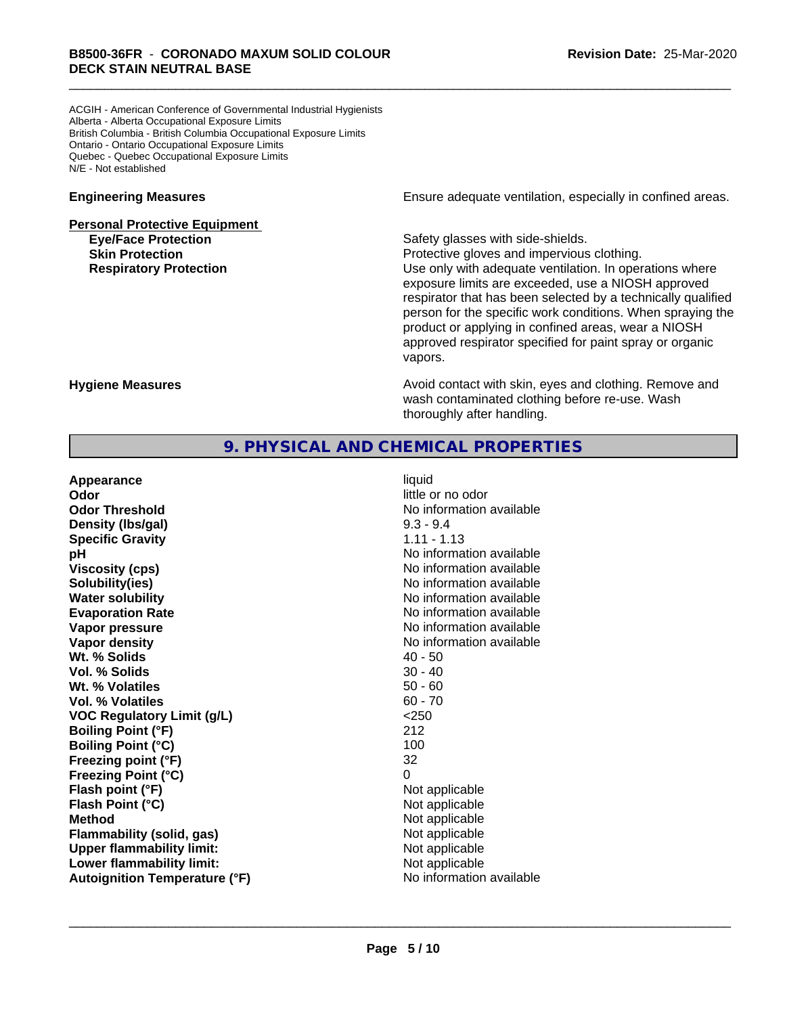ACGIH - American Conference of Governmental Industrial Hygienists Alberta - Alberta Occupational Exposure Limits British Columbia - British Columbia Occupational Exposure Limits Ontario - Ontario Occupational Exposure Limits Quebec - Quebec Occupational Exposure Limits N/E - Not established

# **Personal Protective Equipment Eye/Face Protection Safety glasses with side-shields.**

**Engineering Measures Engineering Measures Engineering Measures Ensure adequate ventilation, especially in confined areas.** 

**Skin Protection Protection Protective gloves and impervious clothing. Respiratory Protection Number 1** (Use only with adequate ventilation. In operations where exposure limits are exceeded, use a NIOSH approved respirator that has been selected by a technically qualified person for the specific work conditions. When spraying the product or applying in confined areas, wear a NIOSH approved respirator specified for paint spray or organic vapors.

**Hygiene Measures Avoid contact with skin, eyes and clothing. Remove and Avoid contact with skin, eyes and clothing. Remove and Avoid contact with skin, eyes and clothing. Remove and** wash contaminated clothing before re-use. Wash thoroughly after handling.

## **9. PHYSICAL AND CHEMICAL PROPERTIES**

| little or no odor<br>Odor<br>No information available<br><b>Odor Threshold</b><br>$9.3 - 9.4$<br>Density (Ibs/gal)<br>$1.11 - 1.13$<br><b>Specific Gravity</b><br>No information available<br>рH<br>No information available<br><b>Viscosity (cps)</b><br>Solubility(ies)<br>No information available<br>No information available<br><b>Water solubility</b><br>No information available<br><b>Evaporation Rate</b><br>No information available<br>Vapor pressure<br>No information available<br>Vapor density<br>Wt. % Solids<br>$40 - 50$<br>Vol. % Solids<br>$30 - 40$<br>$50 - 60$<br>Wt. % Volatiles<br>$60 - 70$<br>Vol. % Volatiles<br>< 250<br><b>VOC Regulatory Limit (g/L)</b> |
|------------------------------------------------------------------------------------------------------------------------------------------------------------------------------------------------------------------------------------------------------------------------------------------------------------------------------------------------------------------------------------------------------------------------------------------------------------------------------------------------------------------------------------------------------------------------------------------------------------------------------------------------------------------------------------------|
|                                                                                                                                                                                                                                                                                                                                                                                                                                                                                                                                                                                                                                                                                          |
|                                                                                                                                                                                                                                                                                                                                                                                                                                                                                                                                                                                                                                                                                          |
|                                                                                                                                                                                                                                                                                                                                                                                                                                                                                                                                                                                                                                                                                          |
|                                                                                                                                                                                                                                                                                                                                                                                                                                                                                                                                                                                                                                                                                          |
|                                                                                                                                                                                                                                                                                                                                                                                                                                                                                                                                                                                                                                                                                          |
|                                                                                                                                                                                                                                                                                                                                                                                                                                                                                                                                                                                                                                                                                          |
|                                                                                                                                                                                                                                                                                                                                                                                                                                                                                                                                                                                                                                                                                          |
|                                                                                                                                                                                                                                                                                                                                                                                                                                                                                                                                                                                                                                                                                          |
|                                                                                                                                                                                                                                                                                                                                                                                                                                                                                                                                                                                                                                                                                          |
|                                                                                                                                                                                                                                                                                                                                                                                                                                                                                                                                                                                                                                                                                          |
|                                                                                                                                                                                                                                                                                                                                                                                                                                                                                                                                                                                                                                                                                          |
|                                                                                                                                                                                                                                                                                                                                                                                                                                                                                                                                                                                                                                                                                          |
|                                                                                                                                                                                                                                                                                                                                                                                                                                                                                                                                                                                                                                                                                          |
|                                                                                                                                                                                                                                                                                                                                                                                                                                                                                                                                                                                                                                                                                          |
|                                                                                                                                                                                                                                                                                                                                                                                                                                                                                                                                                                                                                                                                                          |
|                                                                                                                                                                                                                                                                                                                                                                                                                                                                                                                                                                                                                                                                                          |
| 212<br><b>Boiling Point (°F)</b>                                                                                                                                                                                                                                                                                                                                                                                                                                                                                                                                                                                                                                                         |
| 100<br><b>Boiling Point (°C)</b>                                                                                                                                                                                                                                                                                                                                                                                                                                                                                                                                                                                                                                                         |
| Freezing point (°F)<br>32                                                                                                                                                                                                                                                                                                                                                                                                                                                                                                                                                                                                                                                                |
| 0<br><b>Freezing Point (°C)</b>                                                                                                                                                                                                                                                                                                                                                                                                                                                                                                                                                                                                                                                          |
| Flash point (°F)<br>Not applicable                                                                                                                                                                                                                                                                                                                                                                                                                                                                                                                                                                                                                                                       |
| Flash Point (°C)<br>Not applicable                                                                                                                                                                                                                                                                                                                                                                                                                                                                                                                                                                                                                                                       |
| <b>Method</b><br>Not applicable                                                                                                                                                                                                                                                                                                                                                                                                                                                                                                                                                                                                                                                          |
| Not applicable<br>Flammability (solid, gas)                                                                                                                                                                                                                                                                                                                                                                                                                                                                                                                                                                                                                                              |
| <b>Upper flammability limit:</b><br>Not applicable                                                                                                                                                                                                                                                                                                                                                                                                                                                                                                                                                                                                                                       |
| Lower flammability limit:<br>Not applicable                                                                                                                                                                                                                                                                                                                                                                                                                                                                                                                                                                                                                                              |
| No information available<br><b>Autoignition Temperature (°F)</b>                                                                                                                                                                                                                                                                                                                                                                                                                                                                                                                                                                                                                         |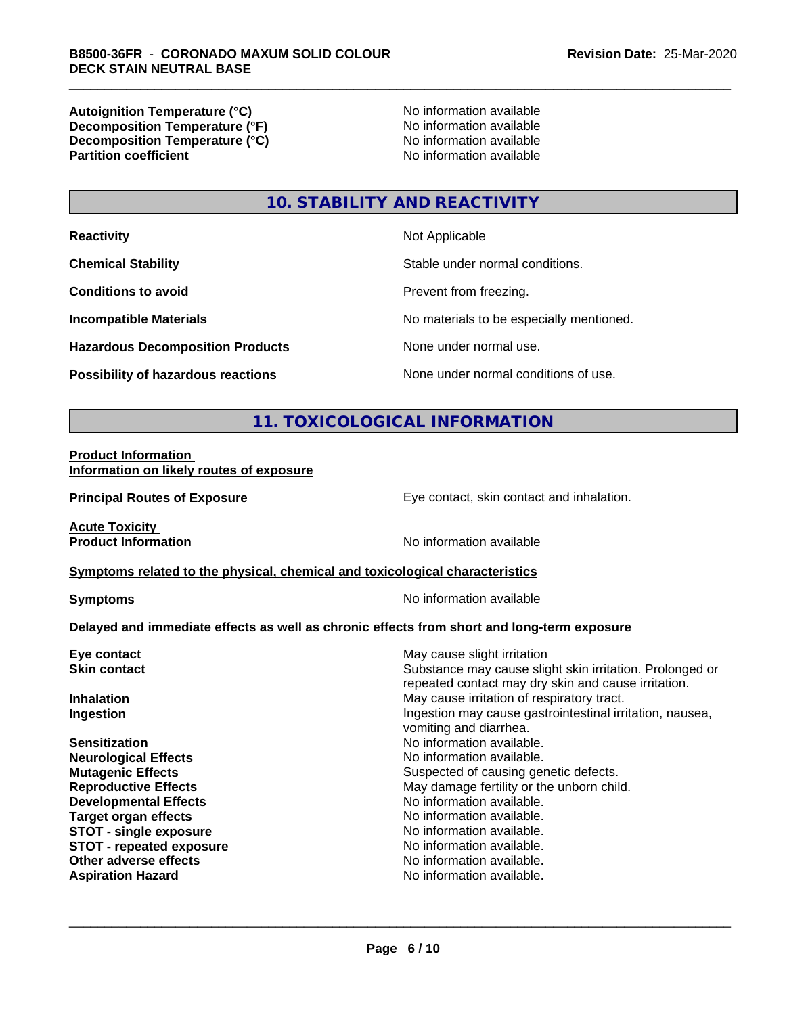**Autoignition Temperature (°C)**<br> **Decomposition Temperature (°F)** No information available<br>
No information available **Decomposition Temperature (°F)**<br> **Decomposition Temperature (°C)**<br>
No information available **Decomposition Temperature (°C) Partition coefficient** 

# **10. STABILITY AND REACTIVITY**

| <b>Reactivity</b>                         | Not Applicable                           |
|-------------------------------------------|------------------------------------------|
| <b>Chemical Stability</b>                 | Stable under normal conditions.          |
| <b>Conditions to avoid</b>                | Prevent from freezing.                   |
| <b>Incompatible Materials</b>             | No materials to be especially mentioned. |
| <b>Hazardous Decomposition Products</b>   | None under normal use.                   |
| <b>Possibility of hazardous reactions</b> | None under normal conditions of use.     |

# **11. TOXICOLOGICAL INFORMATION**

#### **Product Information Information on likely routes of exposure**

**Principal Routes of Exposure Exposure** Eye contact, skin contact and inhalation.

**Acute Toxicity** 

**Product Information** No information available

#### **Symptoms** related to the physical, chemical and toxicological characteristics

**Symptoms** No information available

#### **Delayed and immediate effects as well as chronic effects from short and long-term exposure**

| Eye contact                     | May cause slight irritation                                                                                     |
|---------------------------------|-----------------------------------------------------------------------------------------------------------------|
| <b>Skin contact</b>             | Substance may cause slight skin irritation. Prolonged or<br>repeated contact may dry skin and cause irritation. |
| <b>Inhalation</b>               | May cause irritation of respiratory tract.                                                                      |
| Ingestion                       | Ingestion may cause gastrointestinal irritation, nausea,<br>vomiting and diarrhea.                              |
| <b>Sensitization</b>            | No information available.                                                                                       |
| <b>Neurological Effects</b>     | No information available.                                                                                       |
| <b>Mutagenic Effects</b>        | Suspected of causing genetic defects.                                                                           |
| <b>Reproductive Effects</b>     | May damage fertility or the unborn child.                                                                       |
| <b>Developmental Effects</b>    | No information available.                                                                                       |
| Target organ effects            | No information available.                                                                                       |
| <b>STOT - single exposure</b>   | No information available.                                                                                       |
| <b>STOT - repeated exposure</b> | No information available.                                                                                       |
| Other adverse effects           | No information available.                                                                                       |
| <b>Aspiration Hazard</b>        | No information available.                                                                                       |
|                                 |                                                                                                                 |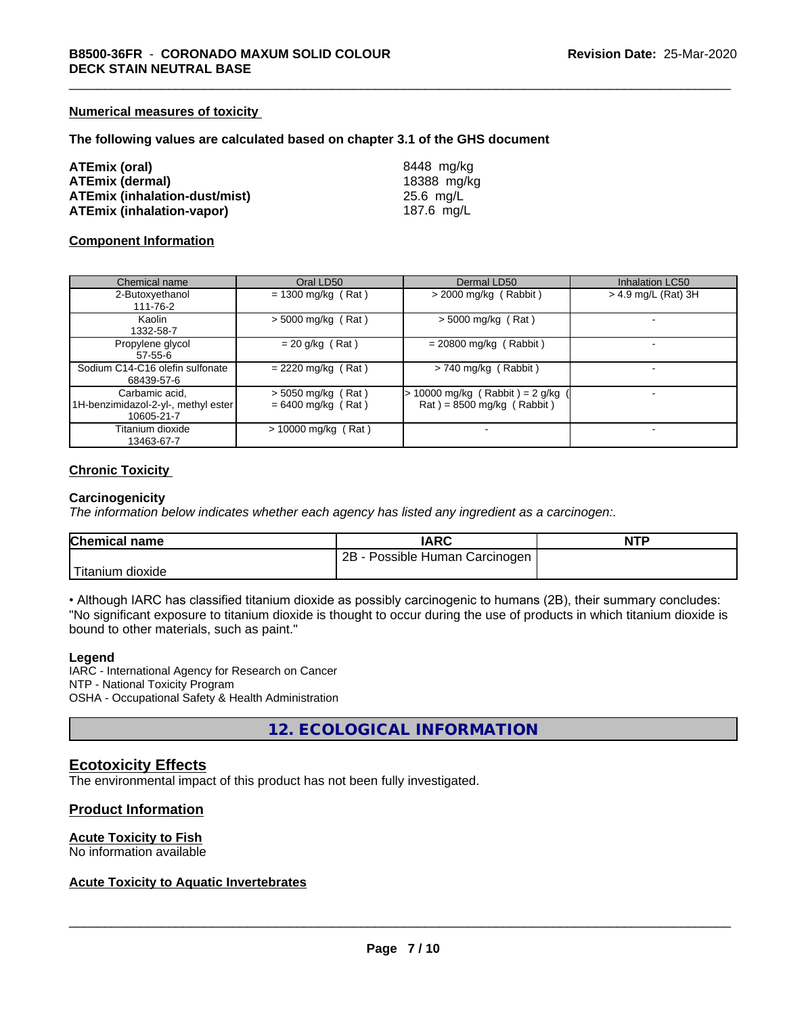#### **Numerical measures of toxicity**

#### **The following values are calculated based on chapter 3.1 of the GHS document**

| ATEmix (oral)                        | 8448 mg/ka  |
|--------------------------------------|-------------|
| <b>ATEmix (dermal)</b>               | 18388 mg/kg |
| <b>ATEmix (inhalation-dust/mist)</b> | 25.6 mg/L   |
| <b>ATEmix (inhalation-vapor)</b>     | 187.6 mg/L  |

#### **Component Information**

| Chemical name                                                       | Oral LD50                                    | Dermal LD50                                                                        | <b>Inhalation LC50</b> |
|---------------------------------------------------------------------|----------------------------------------------|------------------------------------------------------------------------------------|------------------------|
| 2-Butoxyethanol<br>111-76-2                                         | $= 1300$ mg/kg (Rat)                         | $>$ 2000 mg/kg (Rabbit)                                                            | > 4.9 mg/L (Rat) 3H    |
| Kaolin<br>1332-58-7                                                 | $>$ 5000 mg/kg (Rat)                         | $>$ 5000 mg/kg (Rat)                                                               |                        |
| Propylene glycol<br>$57 - 55 - 6$                                   | $= 20$ g/kg (Rat)                            | $= 20800$ mg/kg (Rabbit)                                                           |                        |
| Sodium C14-C16 olefin sulfonate<br>68439-57-6                       | $= 2220$ mg/kg (Rat)                         | $> 740$ mg/kg (Rabbit)                                                             |                        |
| Carbamic acid,<br>1H-benzimidazol-2-yl-, methyl ester<br>10605-21-7 | $>$ 5050 mg/kg (Rat)<br>$= 6400$ mg/kg (Rat) | 10000 mg/kg (Rabbit) = $2$ g/kg<br>$\text{Rat}$ ) = 8500 mg/kg ( $\text{Rabbit}$ ) |                        |
| Titanium dioxide<br>13463-67-7                                      | $> 10000$ mg/kg (Rat)                        | $\,$                                                                               |                        |

#### **Chronic Toxicity**

#### **Carcinogenicity**

*The information below indicateswhether each agency has listed any ingredient as a carcinogen:.*

| <b>Chemical name</b> | IARC                                | <b>NTP</b> |
|----------------------|-------------------------------------|------------|
|                      | $2B -$<br>Possible Human Carcinogen |            |
| 'Titanium<br>dioxide |                                     |            |

• Although IARC has classified titanium dioxide as possibly carcinogenic to humans (2B), their summary concludes: "No significant exposure to titanium dioxide is thought to occur during the use of products in which titanium dioxide is bound to other materials, such as paint."

#### **Legend**

IARC - International Agency for Research on Cancer NTP - National Toxicity Program OSHA - Occupational Safety & Health Administration

**12. ECOLOGICAL INFORMATION**

### **Ecotoxicity Effects**

The environmental impact of this product has not been fully investigated.

#### **Product Information**

#### **Acute Toxicity to Fish**

No information available

#### **Acute Toxicity to Aquatic Invertebrates**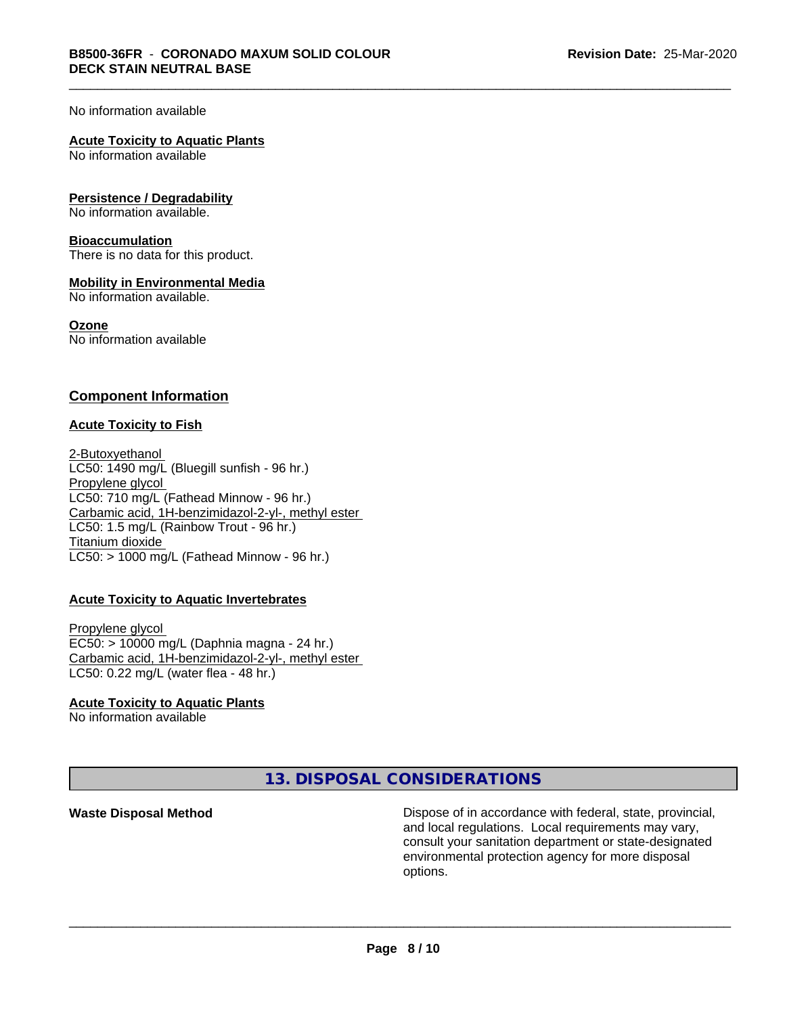#### No information available

#### **Acute Toxicity to Aquatic Plants**

No information available

#### **Persistence / Degradability**

No information available.

#### **Bioaccumulation**

There is no data for this product.

#### **Mobility in Environmental Media**

No information available.

#### **Ozone**

No information available

#### **Component Information**

#### **Acute Toxicity to Fish**

2-Butoxyethanol LC50: 1490 mg/L (Bluegill sunfish - 96 hr.) Propylene glycol LC50: 710 mg/L (Fathead Minnow - 96 hr.) Carbamic acid, 1H-benzimidazol-2-yl-, methyl ester LC50: 1.5 mg/L (Rainbow Trout - 96 hr.) Titanium dioxide  $LC50:$  > 1000 mg/L (Fathead Minnow - 96 hr.)

#### **Acute Toxicity to Aquatic Invertebrates**

Propylene glycol EC50: > 10000 mg/L (Daphnia magna - 24 hr.) Carbamic acid, 1H-benzimidazol-2-yl-, methyl ester LC50: 0.22 mg/L (water flea - 48 hr.)

#### **Acute Toxicity to Aquatic Plants**

No information available

**13. DISPOSAL CONSIDERATIONS**

**Waste Disposal Method Dispose of in accordance with federal, state, provincial,** and local regulations. Local requirements may vary, consult your sanitation department or state-designated environmental protection agency for more disposal options.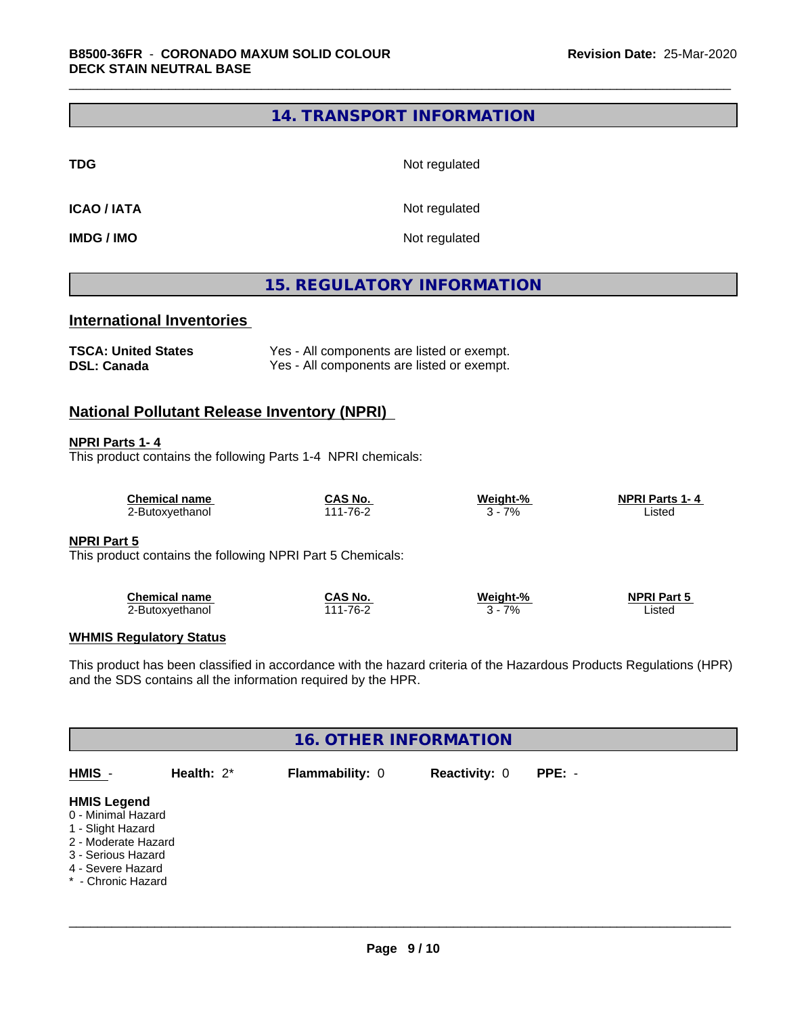## **14. TRANSPORT INFORMATION**

**TDG** Not regulated

**ICAO / IATA** Not regulated

**IMDG / IMO** Not regulated

# **15. REGULATORY INFORMATION**

# **International Inventories**

| <b>TSCA: United States</b> | Yes - All components are listed or exempt. |
|----------------------------|--------------------------------------------|
| <b>DSL: Canada</b>         | Yes - All components are listed or exempt. |

### **National Pollutant Release Inventory (NPRI)**

#### **NPRI Parts 1- 4**

This product contains the following Parts 1-4 NPRI chemicals:

| Chemical name   | CAS No.      | Weiaht-% | <b>NPRI Parts 1-4</b> |  |
|-----------------|--------------|----------|-----------------------|--|
| ∠-Butoxyethanol | $1 - 76 - ?$ | 7%       | istec                 |  |

#### **NPRI Part 5**

This product contains the following NPRI Part 5 Chemicals:

| <b>Chemical name</b> | شAS No                   | Weight-% | <b>NPRI Part 5</b> |
|----------------------|--------------------------|----------|--------------------|
| '-Butoxvethanol      | .-76-^<br>$\overline{A}$ | 7%       | ∟isted             |

#### **WHMIS Regulatory Status**

This product has been classified in accordance with the hazard criteria of the Hazardous Products Regulations (HPR) and the SDS contains all the information required by the HPR.

| <b>16. OTHER INFORMATION</b>                                                                                                                          |               |                 |                      |          |  |  |  |
|-------------------------------------------------------------------------------------------------------------------------------------------------------|---------------|-----------------|----------------------|----------|--|--|--|
| HMIS -                                                                                                                                                | Health: $2^*$ | Flammability: 0 | <b>Reactivity: 0</b> | $PPE: -$ |  |  |  |
| <b>HMIS Legend</b><br>0 - Minimal Hazard<br>1 - Slight Hazard<br>2 - Moderate Hazard<br>3 - Serious Hazard<br>4 - Severe Hazard<br>* - Chronic Hazard |               |                 |                      |          |  |  |  |